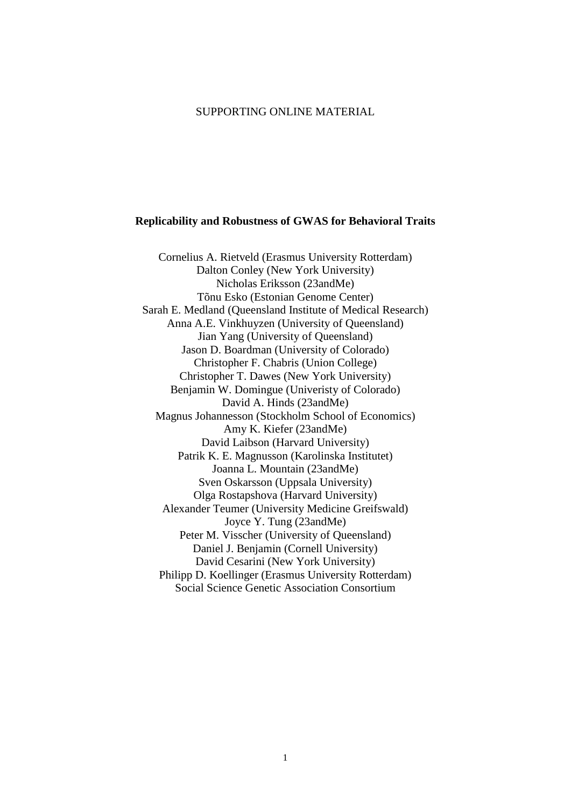# SUPPORTING ONLINE MATERIAL

#### **Replicability and Robustness of GWAS for Behavioral Traits**

Cornelius A. Rietveld (Erasmus University Rotterdam) Dalton Conley (New York University) Nicholas Eriksson (23andMe) Tõnu Esko (Estonian Genome Center) Sarah E. Medland (Queensland Institute of Medical Research) Anna A.E. Vinkhuyzen (University of Queensland) Jian Yang (University of Queensland) Jason D. Boardman (University of Colorado) Christopher F. Chabris (Union College) Christopher T. Dawes (New York University) Benjamin W. Domingue (Univeristy of Colorado) David A. Hinds (23andMe) Magnus Johannesson (Stockholm School of Economics) Amy K. Kiefer (23andMe) David Laibson (Harvard University) Patrik K. E. Magnusson (Karolinska Institutet) Joanna L. Mountain (23andMe) Sven Oskarsson (Uppsala University) Olga Rostapshova (Harvard University) Alexander Teumer (University Medicine Greifswald) Joyce Y. Tung (23andMe) Peter M. Visscher (University of Queensland) Daniel J. Benjamin (Cornell University) David Cesarini (New York University) Philipp D. Koellinger (Erasmus University Rotterdam) Social Science Genetic Association Consortium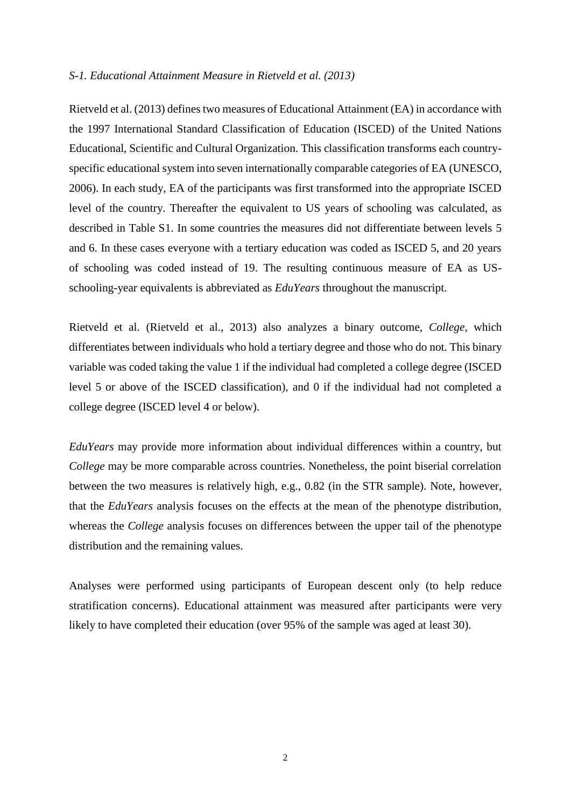#### *S-1. Educational Attainment Measure in Rietveld et al. (2013)*

Rietveld et al. (2013) defines two measures of Educational Attainment (EA) in accordance with the 1997 International Standard Classification of Education (ISCED) of the United Nations Educational, Scientific and Cultural Organization. This classification transforms each countryspecific educational system into seven internationally comparable categories of EA (UNESCO, 2006). In each study, EA of the participants was first transformed into the appropriate ISCED level of the country. Thereafter the equivalent to US years of schooling was calculated, as described in Table S1. In some countries the measures did not differentiate between levels 5 and 6. In these cases everyone with a tertiary education was coded as ISCED 5, and 20 years of schooling was coded instead of 19. The resulting continuous measure of EA as USschooling-year equivalents is abbreviated as *EduYears* throughout the manuscript.

Rietveld et al. (Rietveld et al., 2013) also analyzes a binary outcome, *College*, which differentiates between individuals who hold a tertiary degree and those who do not. This binary variable was coded taking the value 1 if the individual had completed a college degree (ISCED level 5 or above of the ISCED classification), and 0 if the individual had not completed a college degree (ISCED level 4 or below).

*EduYears* may provide more information about individual differences within a country, but *College* may be more comparable across countries. Nonetheless, the point biserial correlation between the two measures is relatively high, e.g., 0.82 (in the STR sample). Note, however, that the *EduYears* analysis focuses on the effects at the mean of the phenotype distribution, whereas the *College* analysis focuses on differences between the upper tail of the phenotype distribution and the remaining values.

Analyses were performed using participants of European descent only (to help reduce stratification concerns). Educational attainment was measured after participants were very likely to have completed their education (over 95% of the sample was aged at least 30).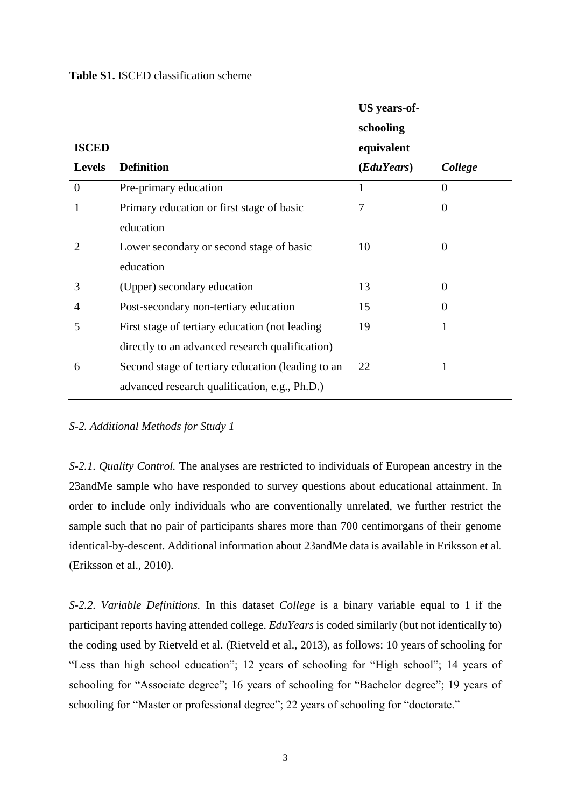|  | <b>Table S1. ISCED classification scheme</b> |  |
|--|----------------------------------------------|--|
|  |                                              |  |

| <b>ISCED</b>   |                                                   | <b>US</b> years-of-<br>schooling<br>equivalent |                |
|----------------|---------------------------------------------------|------------------------------------------------|----------------|
| <b>Levels</b>  | <b>Definition</b>                                 | ( <i>EduYears</i> )                            | College        |
| $\overline{0}$ | Pre-primary education                             | 1                                              | $\theta$       |
| 1              | Primary education or first stage of basic         | 7                                              | $\theta$       |
|                | education                                         |                                                |                |
| 2              | Lower secondary or second stage of basic          | 10                                             | $\overline{0}$ |
|                | education                                         |                                                |                |
| 3              | (Upper) secondary education                       | 13                                             | $\theta$       |
| 4              | Post-secondary non-tertiary education             | 15                                             | $\theta$       |
| 5              | First stage of tertiary education (not leading    | 19                                             | 1              |
|                | directly to an advanced research qualification)   |                                                |                |
| 6              | Second stage of tertiary education (leading to an | 22                                             |                |
|                | advanced research qualification, e.g., Ph.D.)     |                                                |                |

## *S-2. Additional Methods for Study 1*

*S-2.1. Quality Control.* The analyses are restricted to individuals of European ancestry in the 23andMe sample who have responded to survey questions about educational attainment. In order to include only individuals who are conventionally unrelated, we further restrict the sample such that no pair of participants shares more than 700 centimorgans of their genome identical-by-descent. Additional information about 23andMe data is available in Eriksson et al. (Eriksson et al., 2010).

*S-2.2. Variable Definitions.* In this dataset *College* is a binary variable equal to 1 if the participant reports having attended college. *EduYears* is coded similarly (but not identically to) the coding used by Rietveld et al. (Rietveld et al., 2013), as follows: 10 years of schooling for "Less than high school education"; 12 years of schooling for "High school"; 14 years of schooling for "Associate degree"; 16 years of schooling for "Bachelor degree"; 19 years of schooling for "Master or professional degree"; 22 years of schooling for "doctorate."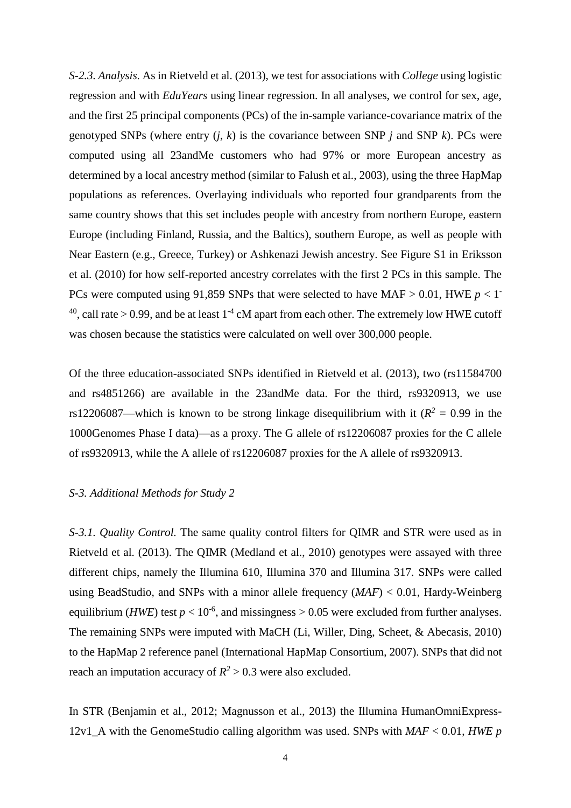*S-2.3. Analysis.* As in Rietveld et al. (2013), we test for associations with *College* using logistic regression and with *EduYears* using linear regression. In all analyses, we control for sex, age, and the first 25 principal components (PCs) of the in-sample variance-covariance matrix of the genotyped SNPs (where entry  $(i, k)$  is the covariance between SNP  $j$  and SNP  $k$ ). PCs were computed using all 23andMe customers who had 97% or more European ancestry as determined by a local ancestry method (similar to Falush et al., 2003), using the three HapMap populations as references. Overlaying individuals who reported four grandparents from the same country shows that this set includes people with ancestry from northern Europe, eastern Europe (including Finland, Russia, and the Baltics), southern Europe, as well as people with Near Eastern (e.g., Greece, Turkey) or Ashkenazi Jewish ancestry. See Figure S1 in Eriksson et al. (2010) for how self-reported ancestry correlates with the first 2 PCs in this sample. The PCs were computed using 91,859 SNPs that were selected to have MAF  $> 0.01$ , HWE  $p < 1$ <sup>-</sup> <sup>40</sup>, call rate > 0.99, and be at least  $1^{-4}$  cM apart from each other. The extremely low HWE cutoff was chosen because the statistics were calculated on well over 300,000 people.

Of the three education-associated SNPs identified in Rietveld et al. (2013), two (rs11584700 and rs4851266) are available in the 23andMe data. For the third, rs9320913, we use rs12206087—which is known to be strong linkage disequilibrium with it  $(R^2 = 0.99$  in the 1000Genomes Phase I data)—as a proxy. The G allele of rs12206087 proxies for the C allele of rs9320913, while the A allele of rs12206087 proxies for the A allele of rs9320913.

## *S-3. Additional Methods for Study 2*

*S-3.1. Quality Control.* The same quality control filters for QIMR and STR were used as in Rietveld et al. (2013). The QIMR (Medland et al., 2010) genotypes were assayed with three different chips, namely the Illumina 610, Illumina 370 and Illumina 317. SNPs were called using BeadStudio, and SNPs with a minor allele frequency (*MAF*) < 0.01, Hardy-Weinberg equilibrium (*HWE*) test  $p < 10^{-6}$ , and missingness > 0.05 were excluded from further analyses. The remaining SNPs were imputed with MaCH (Li, Willer, Ding, Scheet, & Abecasis, 2010) to the HapMap 2 reference panel (International HapMap Consortium, 2007). SNPs that did not reach an imputation accuracy of  $R^2 > 0.3$  were also excluded.

In STR (Benjamin et al., 2012; Magnusson et al., 2013) the Illumina HumanOmniExpress-12v1\_A with the GenomeStudio calling algorithm was used. SNPs with *MAF* < 0.01, *HWE p*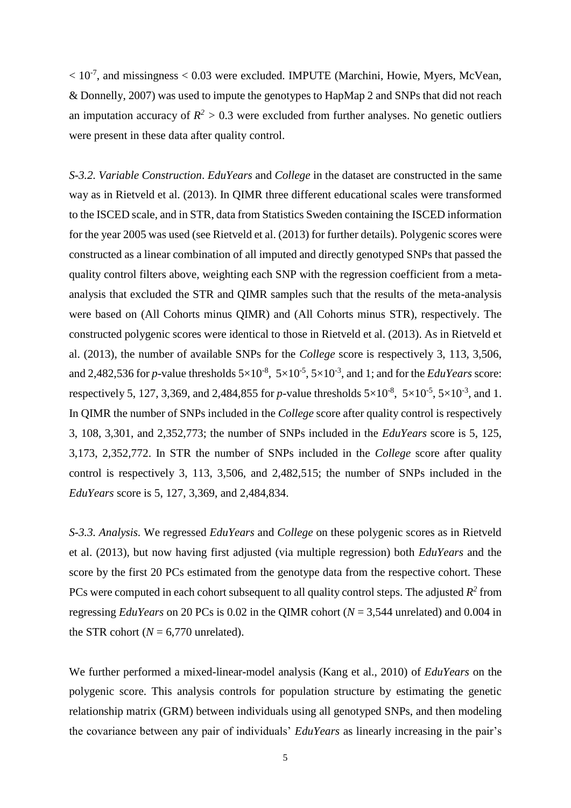$< 10^{-7}$ , and missingness  $< 0.03$  were excluded. IMPUTE (Marchini, Howie, Myers, McVean, & Donnelly, 2007) was used to impute the genotypes to HapMap 2 and SNPs that did not reach an imputation accuracy of  $R^2 > 0.3$  were excluded from further analyses. No genetic outliers were present in these data after quality control.

*S-3.2. Variable Construction*. *EduYears* and *College* in the dataset are constructed in the same way as in Rietveld et al. (2013). In QIMR three different educational scales were transformed to the ISCED scale, and in STR, data from Statistics Sweden containing the ISCED information for the year 2005 was used (see Rietveld et al. (2013) for further details). Polygenic scores were constructed as a linear combination of all imputed and directly genotyped SNPs that passed the quality control filters above, weighting each SNP with the regression coefficient from a metaanalysis that excluded the STR and QIMR samples such that the results of the meta-analysis were based on (All Cohorts minus QIMR) and (All Cohorts minus STR), respectively. The constructed polygenic scores were identical to those in Rietveld et al. (2013). As in Rietveld et al. (2013), the number of available SNPs for the *College* score is respectively 3, 113, 3,506, and 2,482,536 for *p*-value thresholds  $5 \times 10^{-8}$ ,  $5 \times 10^{-5}$ ,  $5 \times 10^{-3}$ , and 1; and for the *EduYears* score: respectively 5, 127, 3,369, and 2,484,855 for *p*-value thresholds  $5\times10^{-8}$ ,  $5\times10^{-5}$ ,  $5\times10^{-3}$ , and 1. In QIMR the number of SNPs included in the *College* score after quality control is respectively 3, 108, 3,301, and 2,352,773; the number of SNPs included in the *EduYears* score is 5, 125, 3,173, 2,352,772. In STR the number of SNPs included in the *College* score after quality control is respectively 3, 113, 3,506, and 2,482,515; the number of SNPs included in the *EduYears* score is 5, 127, 3,369, and 2,484,834.

*S-3.3. Analysis.* We regressed *EduYears* and *College* on these polygenic scores as in Rietveld et al. (2013), but now having first adjusted (via multiple regression) both *EduYears* and the score by the first 20 PCs estimated from the genotype data from the respective cohort. These PCs were computed in each cohort subsequent to all quality control steps. The adjusted  $R^2$  from regressing *EduYears* on 20 PCs is 0.02 in the QIMR cohort (*N* = 3,544 unrelated) and 0.004 in the STR cohort ( $N = 6,770$  unrelated).

We further performed a mixed-linear-model analysis (Kang et al., 2010) of *EduYears* on the polygenic score. This analysis controls for population structure by estimating the genetic relationship matrix (GRM) between individuals using all genotyped SNPs, and then modeling the covariance between any pair of individuals' *EduYears* as linearly increasing in the pair's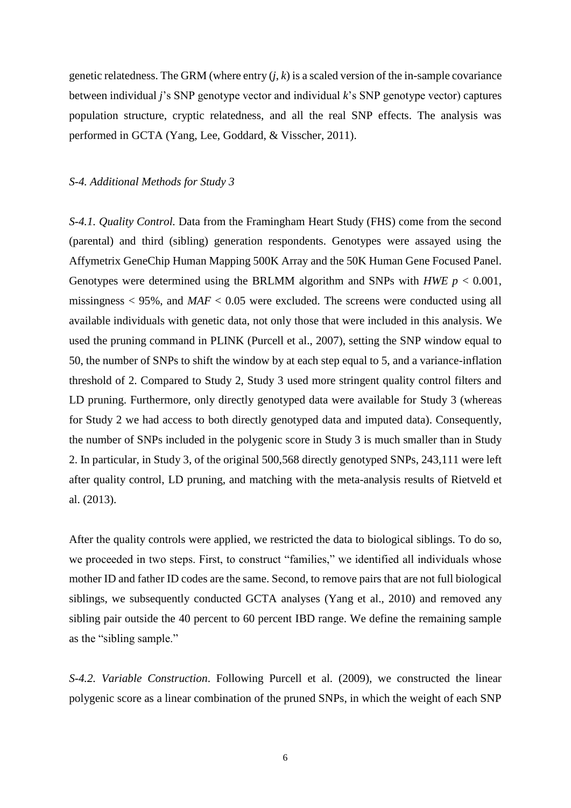genetic relatedness. The GRM (where entry  $(j, k)$  is a scaled version of the in-sample covariance between individual *j*'s SNP genotype vector and individual *k*'s SNP genotype vector) captures population structure, cryptic relatedness, and all the real SNP effects. The analysis was performed in GCTA (Yang, Lee, Goddard, & Visscher, 2011).

#### *S-4. Additional Methods for Study 3*

*S-4.1. Quality Control.* Data from the Framingham Heart Study (FHS) come from the second (parental) and third (sibling) generation respondents. Genotypes were assayed using the Affymetrix GeneChip Human Mapping 500K Array and the 50K Human Gene Focused Panel. Genotypes were determined using the BRLMM algorithm and SNPs with *HWE p* < 0.001, missingness  $< 95\%$ , and  $MAF < 0.05$  were excluded. The screens were conducted using all available individuals with genetic data, not only those that were included in this analysis. We used the pruning command in PLINK (Purcell et al., 2007), setting the SNP window equal to 50, the number of SNPs to shift the window by at each step equal to 5, and a variance-inflation threshold of 2. Compared to Study 2, Study 3 used more stringent quality control filters and LD pruning. Furthermore, only directly genotyped data were available for Study 3 (whereas for Study 2 we had access to both directly genotyped data and imputed data). Consequently, the number of SNPs included in the polygenic score in Study 3 is much smaller than in Study 2. In particular, in Study 3, of the original 500,568 directly genotyped SNPs, 243,111 were left after quality control, LD pruning, and matching with the meta-analysis results of Rietveld et al. (2013).

After the quality controls were applied, we restricted the data to biological siblings. To do so, we proceeded in two steps. First, to construct "families," we identified all individuals whose mother ID and father ID codes are the same. Second, to remove pairs that are not full biological siblings, we subsequently conducted GCTA analyses (Yang et al., 2010) and removed any sibling pair outside the 40 percent to 60 percent IBD range. We define the remaining sample as the "sibling sample."

*S-4.2. Variable Construction*. Following Purcell et al. (2009), we constructed the linear polygenic score as a linear combination of the pruned SNPs, in which the weight of each SNP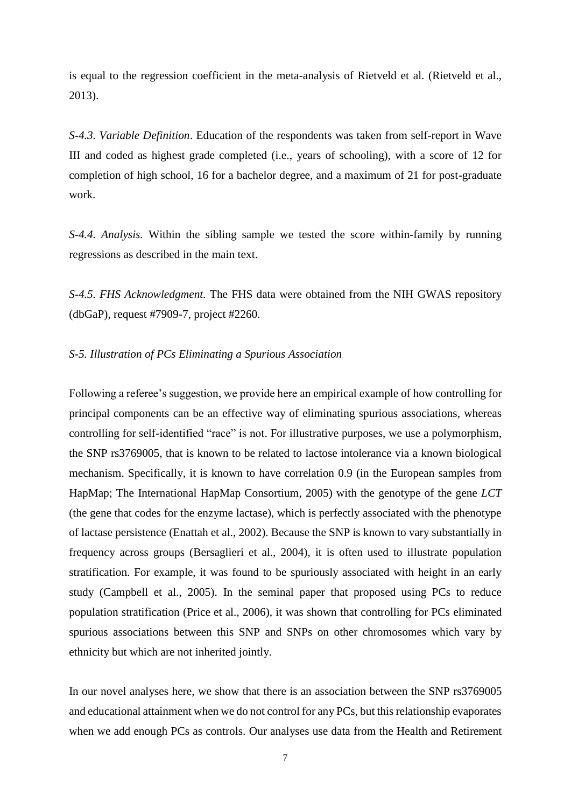is equal to the regression coefficient in the meta-analysis of Rietveld et al. (Rietveld et al., 2013).

*S-4.3. Variable Definition*. Education of the respondents was taken from self-report in Wave III and coded as highest grade completed (i.e., years of schooling), with a score of 12 for completion of high school, 16 for a bachelor degree, and a maximum of 21 for post-graduate work.

*S-4.4. Analysis.* Within the sibling sample we tested the score within-family by running regressions as described in the main text.

*S-4.5. FHS Acknowledgment.* The FHS data were obtained from the NIH GWAS repository (dbGaP), request #7909-7, project #2260.

# *S-5. Illustration of PCs Eliminating a Spurious Association*

Following a referee's suggestion, we provide here an empirical example of how controlling for principal components can be an effective way of eliminating spurious associations, whereas controlling for self-identified "race" is not. For illustrative purposes, we use a polymorphism, the SNP rs3769005, that is known to be related to lactose intolerance via a known biological mechanism. Specifically, it is known to have correlation 0.9 (in the European samples from HapMap; The International HapMap Consortium, 2005) with the genotype of the gene *LCT* (the gene that codes for the enzyme lactase), which is perfectly associated with the phenotype of lactase persistence (Enattah et al., 2002). Because the SNP is known to vary substantially in frequency across groups (Bersaglieri et al., 2004), it is often used to illustrate population stratification. For example, it was found to be spuriously associated with height in an early study (Campbell et al., 2005). In the seminal paper that proposed using PCs to reduce population stratification (Price et al., 2006), it was shown that controlling for PCs eliminated spurious associations between this SNP and SNPs on other chromosomes which vary by ethnicity but which are not inherited jointly.

In our novel analyses here, we show that there is an association between the SNP rs3769005 and educational attainment when we do not control for any PCs, but this relationship evaporates when we add enough PCs as controls. Our analyses use data from the Health and Retirement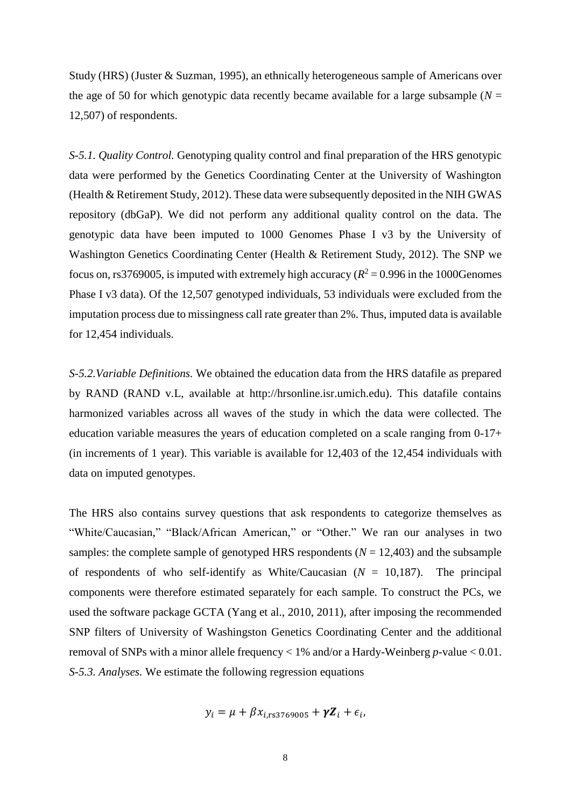Study (HRS) (Juster & Suzman, 1995), an ethnically heterogeneous sample of Americans over the age of 50 for which genotypic data recently became available for a large subsample ( $N =$ 12,507) of respondents.

*S-5.1. Quality Control.* Genotyping quality control and final preparation of the HRS genotypic data were performed by the Genetics Coordinating Center at the University of Washington (Health & Retirement Study, 2012). These data were subsequently deposited in the NIH GWAS repository (dbGaP). We did not perform any additional quality control on the data. The genotypic data have been imputed to 1000 Genomes Phase I v3 by the University of Washington Genetics Coordinating Center (Health & Retirement Study, 2012). The SNP we focus on, rs3769005, is imputed with extremely high accuracy ( $R^2 = 0.996$  in the 1000Genomes Phase I v3 data). Of the 12,507 genotyped individuals, 53 individuals were excluded from the imputation process due to missingness call rate greater than 2%. Thus, imputed data is available for 12,454 individuals.

*S-5.2.Variable Definitions.* We obtained the education data from the HRS datafile as prepared by RAND (RAND v.L, available at http://hrsonline.isr.umich.edu). This datafile contains harmonized variables across all waves of the study in which the data were collected. The education variable measures the years of education completed on a scale ranging from 0-17+ (in increments of 1 year). This variable is available for 12,403 of the 12,454 individuals with data on imputed genotypes.

The HRS also contains survey questions that ask respondents to categorize themselves as "White/Caucasian," "Black/African American," or "Other." We ran our analyses in two samples: the complete sample of genotyped HRS respondents  $(N = 12,403)$  and the subsample of respondents of who self-identify as White/Caucasian (*N* = 10,187). The principal components were therefore estimated separately for each sample. To construct the PCs, we used the software package GCTA (Yang et al., 2010, 2011), after imposing the recommended SNP filters of University of Washingston Genetics Coordinating Center and the additional removal of SNPs with a minor allele frequency < 1% and/or a Hardy-Weinberg *p*-value < 0.01. *S-5.3. Analyses.* We estimate the following regression equations

$$
y_i = \mu + \beta x_{i,rs3769005} + \gamma Z_i + \epsilon_i,
$$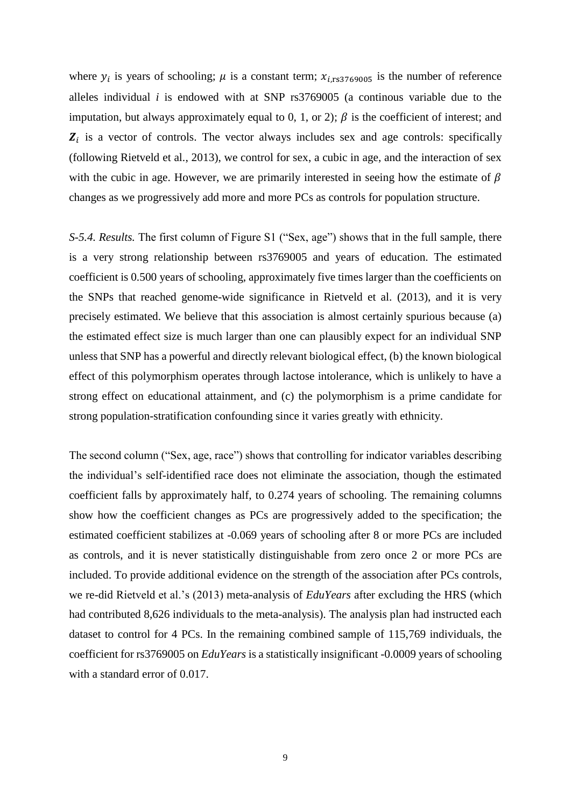where  $y_i$  is years of schooling;  $\mu$  is a constant term;  $x_{i,rs3769005}$  is the number of reference alleles individual *i* is endowed with at SNP rs3769005 (a continous variable due to the imputation, but always approximately equal to 0, 1, or 2);  $\beta$  is the coefficient of interest; and  $\mathbf{Z}_i$  is a vector of controls. The vector always includes sex and age controls: specifically (following Rietveld et al., 2013), we control for sex, a cubic in age, and the interaction of sex with the cubic in age. However, we are primarily interested in seeing how the estimate of  $\beta$ changes as we progressively add more and more PCs as controls for population structure.

*S-5.4. Results.* The first column of Figure S1 ("Sex, age") shows that in the full sample, there is a very strong relationship between rs3769005 and years of education. The estimated coefficient is 0.500 years of schooling, approximately five times larger than the coefficients on the SNPs that reached genome-wide significance in Rietveld et al. (2013), and it is very precisely estimated. We believe that this association is almost certainly spurious because (a) the estimated effect size is much larger than one can plausibly expect for an individual SNP unless that SNP has a powerful and directly relevant biological effect, (b) the known biological effect of this polymorphism operates through lactose intolerance, which is unlikely to have a strong effect on educational attainment, and (c) the polymorphism is a prime candidate for strong population-stratification confounding since it varies greatly with ethnicity.

The second column ("Sex, age, race") shows that controlling for indicator variables describing the individual's self-identified race does not eliminate the association, though the estimated coefficient falls by approximately half, to 0.274 years of schooling. The remaining columns show how the coefficient changes as PCs are progressively added to the specification; the estimated coefficient stabilizes at -0.069 years of schooling after 8 or more PCs are included as controls, and it is never statistically distinguishable from zero once 2 or more PCs are included. To provide additional evidence on the strength of the association after PCs controls, we re-did Rietveld et al.'s (2013) meta-analysis of *EduYears* after excluding the HRS (which had contributed 8,626 individuals to the meta-analysis). The analysis plan had instructed each dataset to control for 4 PCs. In the remaining combined sample of 115,769 individuals, the coefficient for rs3769005 on *EduYears* is a statistically insignificant -0.0009 years of schooling with a standard error of 0.017.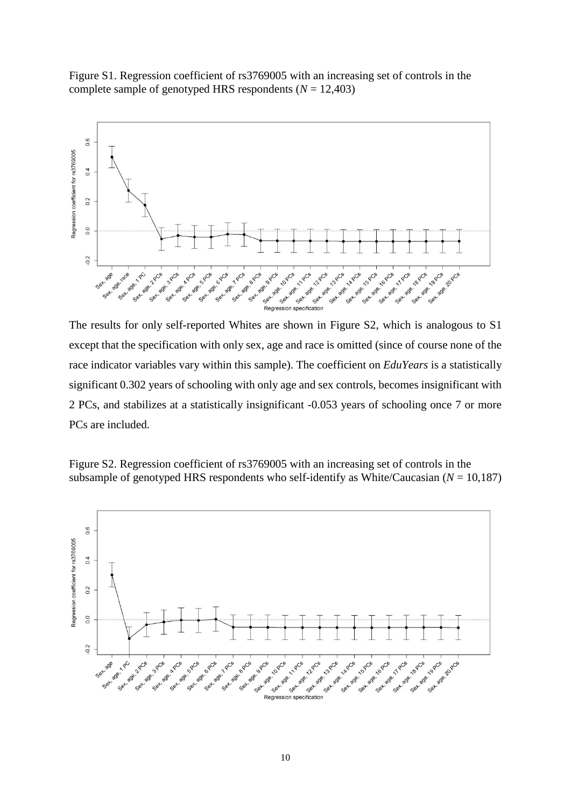Figure S1. Regression coefficient of rs3769005 with an increasing set of controls in the complete sample of genotyped HRS respondents  $(N = 12,403)$ 



The results for only self-reported Whites are shown in Figure S2, which is analogous to S1 except that the specification with only sex, age and race is omitted (since of course none of the race indicator variables vary within this sample). The coefficient on *EduYears* is a statistically significant 0.302 years of schooling with only age and sex controls, becomes insignificant with 2 PCs, and stabilizes at a statistically insignificant -0.053 years of schooling once 7 or more PCs are included.

Figure S2. Regression coefficient of rs3769005 with an increasing set of controls in the subsample of genotyped HRS respondents who self-identify as White/Caucasian  $(N = 10,187)$ 

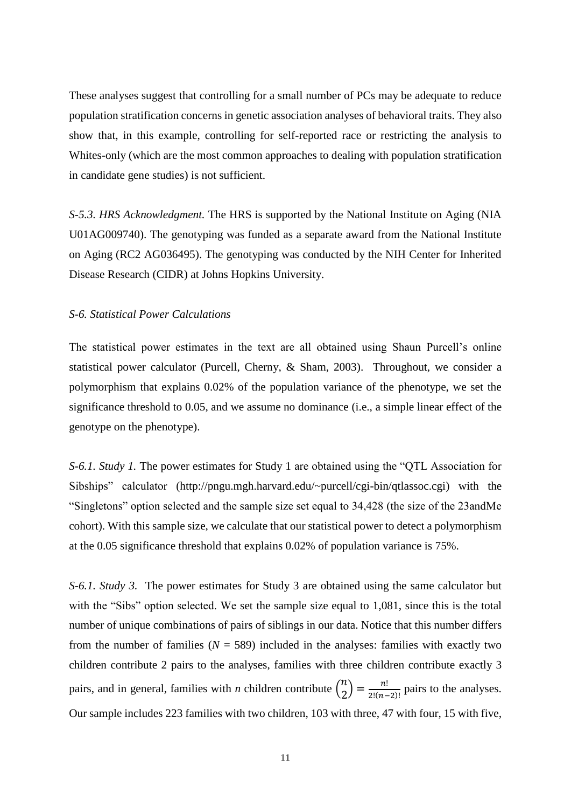These analyses suggest that controlling for a small number of PCs may be adequate to reduce population stratification concerns in genetic association analyses of behavioral traits. They also show that, in this example, controlling for self-reported race or restricting the analysis to Whites-only (which are the most common approaches to dealing with population stratification in candidate gene studies) is not sufficient.

*S-5.3. HRS Acknowledgment.* The HRS is supported by the National Institute on Aging (NIA U01AG009740). The genotyping was funded as a separate award from the National Institute on Aging (RC2 AG036495). The genotyping was conducted by the NIH Center for Inherited Disease Research (CIDR) at Johns Hopkins University.

## *S-6. Statistical Power Calculations*

The statistical power estimates in the text are all obtained using Shaun Purcell's online statistical power calculator (Purcell, Cherny, & Sham, 2003). Throughout, we consider a polymorphism that explains 0.02% of the population variance of the phenotype, we set the significance threshold to 0.05, and we assume no dominance (i.e., a simple linear effect of the genotype on the phenotype).

*S-6.1. Study 1.* The power estimates for Study 1 are obtained using the "QTL Association for Sibships" calculator (http://pngu.mgh.harvard.edu/~purcell/cgi-bin/qtlassoc.cgi) with the "Singletons" option selected and the sample size set equal to 34,428 (the size of the 23andMe cohort). With this sample size, we calculate that our statistical power to detect a polymorphism at the 0.05 significance threshold that explains 0.02% of population variance is 75%.

*S-6.1. Study 3.* The power estimates for Study 3 are obtained using the same calculator but with the "Sibs" option selected. We set the sample size equal to 1,081, since this is the total number of unique combinations of pairs of siblings in our data. Notice that this number differs from the number of families  $(N = 589)$  included in the analyses: families with exactly two children contribute 2 pairs to the analyses, families with three children contribute exactly 3 pairs, and in general, families with *n* children contribute  $\binom{n}{2}$  $\binom{n}{2} = \frac{n!}{2!(n-1)!}$  $\frac{n!}{2!(n-2)!}$  pairs to the analyses. Our sample includes 223 families with two children, 103 with three, 47 with four, 15 with five,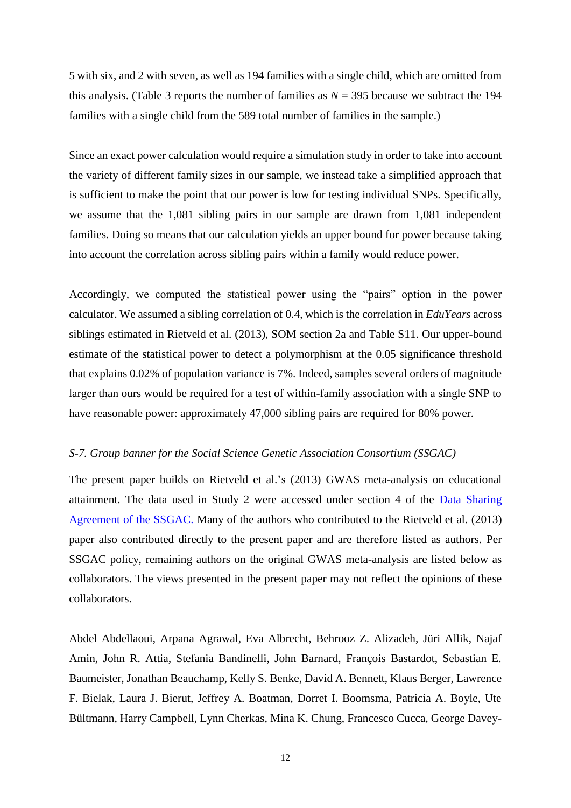5 with six, and 2 with seven, as well as 194 families with a single child, which are omitted from this analysis. (Table 3 reports the number of families as  $N = 395$  because we subtract the 194 families with a single child from the 589 total number of families in the sample.)

Since an exact power calculation would require a simulation study in order to take into account the variety of different family sizes in our sample, we instead take a simplified approach that is sufficient to make the point that our power is low for testing individual SNPs. Specifically, we assume that the 1,081 sibling pairs in our sample are drawn from 1,081 independent families. Doing so means that our calculation yields an upper bound for power because taking into account the correlation across sibling pairs within a family would reduce power.

Accordingly, we computed the statistical power using the "pairs" option in the power calculator. We assumed a sibling correlation of 0.4, which is the correlation in *EduYears* across siblings estimated in Rietveld et al. (2013), SOM section 2a and Table S11. Our upper-bound estimate of the statistical power to detect a polymorphism at the 0.05 significance threshold that explains 0.02% of population variance is 7%. Indeed, samples several orders of magnitude larger than ours would be required for a test of within-family association with a single SNP to have reasonable power: approximately 47,000 sibling pairs are required for 80% power.

### *S-7. Group banner for the Social Science Genetic Association Consortium (SSGAC)*

The present paper builds on Rietveld et al.'s (2013) GWAS meta-analysis on educational attainment. The data used in Study 2 were accessed under section 4 of the [Data Sharing](http://ssgac.org/documents/DatasharingpolicySSGAC.pdf)  [Agreement of the SSGAC.](http://ssgac.org/documents/DatasharingpolicySSGAC.pdf) Many of the authors who contributed to the Rietveld et al. (2013) paper also contributed directly to the present paper and are therefore listed as authors. Per SSGAC policy, remaining authors on the original GWAS meta-analysis are listed below as collaborators. The views presented in the present paper may not reflect the opinions of these collaborators.

Abdel Abdellaoui, Arpana Agrawal, Eva Albrecht, Behrooz Z. Alizadeh, Jüri Allik, Najaf Amin, John R. Attia, Stefania Bandinelli, John Barnard, François Bastardot, Sebastian E. Baumeister, Jonathan Beauchamp, Kelly S. Benke, David A. Bennett, Klaus Berger, Lawrence F. Bielak, Laura J. Bierut, Jeffrey A. Boatman, Dorret I. Boomsma, Patricia A. Boyle, Ute Bültmann, Harry Campbell, Lynn Cherkas, Mina K. Chung, Francesco Cucca, George Davey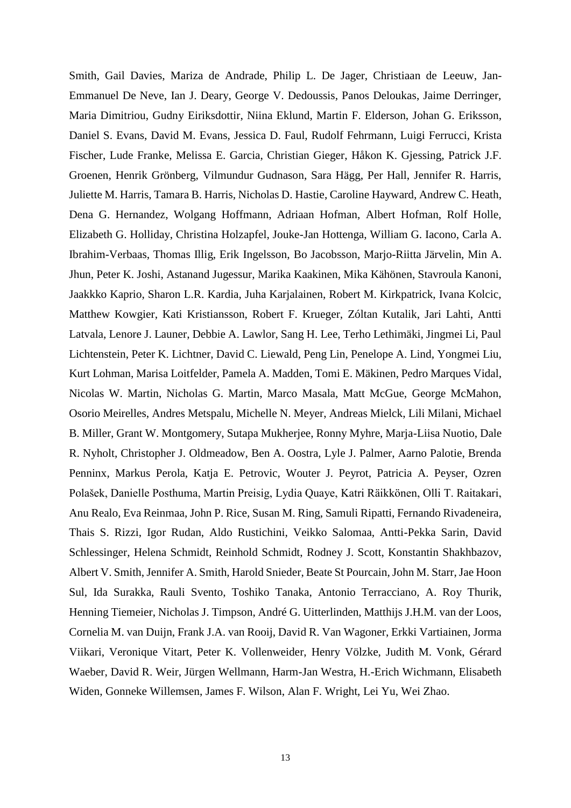Smith, Gail Davies, Mariza de Andrade, Philip L. De Jager, Christiaan de Leeuw, Jan-Emmanuel De Neve, Ian J. Deary, George V. Dedoussis, Panos Deloukas, Jaime Derringer, Maria Dimitriou, Gudny Eiriksdottir, Niina Eklund, Martin F. Elderson, Johan G. Eriksson, Daniel S. Evans, David M. Evans, Jessica D. Faul, Rudolf Fehrmann, Luigi Ferrucci, Krista Fischer, Lude Franke, Melissa E. Garcia, Christian Gieger, Håkon K. Gjessing, Patrick J.F. Groenen, Henrik Grönberg, Vilmundur Gudnason, Sara Hägg, Per Hall, Jennifer R. Harris, Juliette M. Harris, Tamara B. Harris, Nicholas D. Hastie, Caroline Hayward, Andrew C. Heath, Dena G. Hernandez, Wolgang Hoffmann, Adriaan Hofman, Albert Hofman, Rolf Holle, Elizabeth G. Holliday, Christina Holzapfel, Jouke-Jan Hottenga, William G. Iacono, Carla A. Ibrahim-Verbaas, Thomas Illig, Erik Ingelsson, Bo Jacobsson, Marjo-Riitta Järvelin, Min A. Jhun, Peter K. Joshi, Astanand Jugessur, Marika Kaakinen, Mika Kähönen, Stavroula Kanoni, Jaakkko Kaprio, Sharon L.R. Kardia, Juha Karjalainen, Robert M. Kirkpatrick, Ivana Kolcic, Matthew Kowgier, Kati Kristiansson, Robert F. Krueger, Zóltan Kutalik, Jari Lahti, Antti Latvala, Lenore J. Launer, Debbie A. Lawlor, Sang H. Lee, Terho Lethimäki, Jingmei Li, Paul Lichtenstein, Peter K. Lichtner, David C. Liewald, Peng Lin, Penelope A. Lind, Yongmei Liu, Kurt Lohman, Marisa Loitfelder, Pamela A. Madden, Tomi E. Mäkinen, Pedro Marques Vidal, Nicolas W. Martin, Nicholas G. Martin, Marco Masala, Matt McGue, George McMahon, Osorio Meirelles, Andres Metspalu, Michelle N. Meyer, Andreas Mielck, Lili Milani, Michael B. Miller, Grant W. Montgomery, Sutapa Mukherjee, Ronny Myhre, Marja-Liisa Nuotio, Dale R. Nyholt, Christopher J. Oldmeadow, Ben A. Oostra, Lyle J. Palmer, Aarno Palotie, Brenda Penninx, Markus Perola, Katja E. Petrovic, Wouter J. Peyrot, Patricia A. Peyser, Ozren Polašek, Danielle Posthuma, Martin Preisig, Lydia Quaye, Katri Räikkönen, Olli T. Raitakari, Anu Realo, Eva Reinmaa, John P. Rice, Susan M. Ring, Samuli Ripatti, Fernando Rivadeneira, Thais S. Rizzi, Igor Rudan, Aldo Rustichini, Veikko Salomaa, Antti-Pekka Sarin, David Schlessinger, Helena Schmidt, Reinhold Schmidt, Rodney J. Scott, Konstantin Shakhbazov, Albert V. Smith, Jennifer A. Smith, Harold Snieder, Beate St Pourcain, John M. Starr, Jae Hoon Sul, Ida Surakka, Rauli Svento, Toshiko Tanaka, Antonio Terracciano, A. Roy Thurik, Henning Tiemeier, Nicholas J. Timpson, André G. Uitterlinden, Matthijs J.H.M. van der Loos, Cornelia M. van Duijn, Frank J.A. van Rooij, David R. Van Wagoner, Erkki Vartiainen, Jorma Viikari, Veronique Vitart, Peter K. Vollenweider, Henry Völzke, Judith M. Vonk, Gérard Waeber, David R. Weir, Jürgen Wellmann, Harm-Jan Westra, H.-Erich Wichmann, Elisabeth Widen, Gonneke Willemsen, James F. Wilson, Alan F. Wright, Lei Yu, Wei Zhao.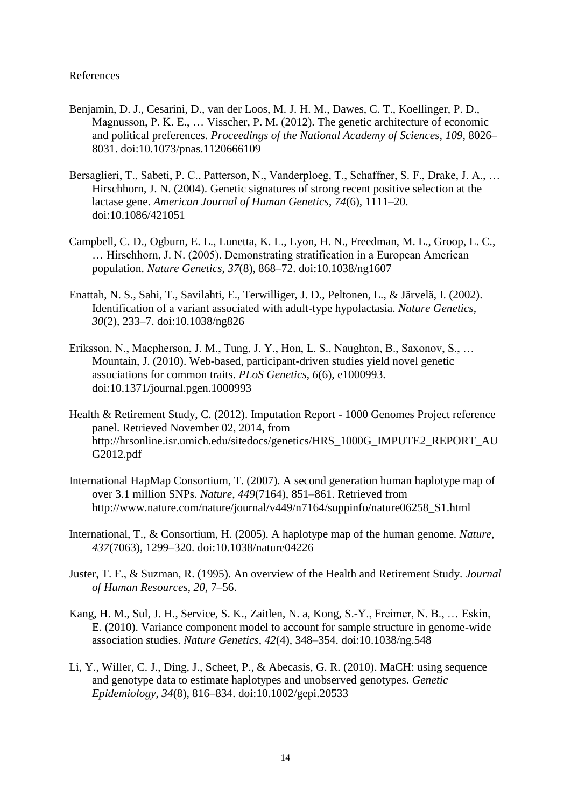## **References**

- Benjamin, D. J., Cesarini, D., van der Loos, M. J. H. M., Dawes, C. T., Koellinger, P. D., Magnusson, P. K. E., … Visscher, P. M. (2012). The genetic architecture of economic and political preferences. *Proceedings of the National Academy of Sciences*, *109*, 8026– 8031. doi:10.1073/pnas.1120666109
- Bersaglieri, T., Sabeti, P. C., Patterson, N., Vanderploeg, T., Schaffner, S. F., Drake, J. A., … Hirschhorn, J. N. (2004). Genetic signatures of strong recent positive selection at the lactase gene. *American Journal of Human Genetics*, *74*(6), 1111–20. doi:10.1086/421051
- Campbell, C. D., Ogburn, E. L., Lunetta, K. L., Lyon, H. N., Freedman, M. L., Groop, L. C., … Hirschhorn, J. N. (2005). Demonstrating stratification in a European American population. *Nature Genetics*, *37*(8), 868–72. doi:10.1038/ng1607
- Enattah, N. S., Sahi, T., Savilahti, E., Terwilliger, J. D., Peltonen, L., & Järvelä, I. (2002). Identification of a variant associated with adult-type hypolactasia. *Nature Genetics*, *30*(2), 233–7. doi:10.1038/ng826
- Eriksson, N., Macpherson, J. M., Tung, J. Y., Hon, L. S., Naughton, B., Saxonov, S., … Mountain, J. (2010). Web-based, participant-driven studies yield novel genetic associations for common traits. *PLoS Genetics*, *6*(6), e1000993. doi:10.1371/journal.pgen.1000993
- Health & Retirement Study, C. (2012). Imputation Report 1000 Genomes Project reference panel. Retrieved November 02, 2014, from http://hrsonline.isr.umich.edu/sitedocs/genetics/HRS\_1000G\_IMPUTE2\_REPORT\_AU G2012.pdf
- International HapMap Consortium, T. (2007). A second generation human haplotype map of over 3.1 million SNPs. *Nature*, *449*(7164), 851–861. Retrieved from http://www.nature.com/nature/journal/v449/n7164/suppinfo/nature06258\_S1.html
- International, T., & Consortium, H. (2005). A haplotype map of the human genome. *Nature*, *437*(7063), 1299–320. doi:10.1038/nature04226
- Juster, T. F., & Suzman, R. (1995). An overview of the Health and Retirement Study. *Journal of Human Resources*, *20*, 7–56.
- Kang, H. M., Sul, J. H., Service, S. K., Zaitlen, N. a, Kong, S.-Y., Freimer, N. B., … Eskin, E. (2010). Variance component model to account for sample structure in genome-wide association studies. *Nature Genetics*, *42*(4), 348–354. doi:10.1038/ng.548
- Li, Y., Willer, C. J., Ding, J., Scheet, P., & Abecasis, G. R. (2010). MaCH: using sequence and genotype data to estimate haplotypes and unobserved genotypes. *Genetic Epidemiology*, *34*(8), 816–834. doi:10.1002/gepi.20533